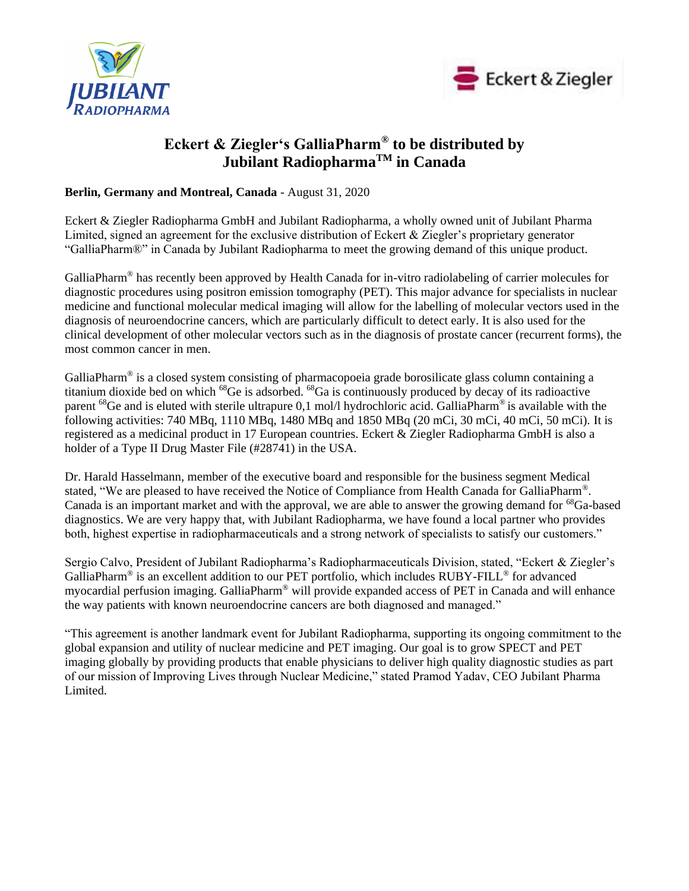



# **Eckert & Ziegler's GalliaPharm® to be distributed by Jubilant RadiopharmaTM in Canada**

**Berlin, Germany and Montreal, Canada** - August 31, 2020

Eckert & Ziegler Radiopharma GmbH and Jubilant Radiopharma, a wholly owned unit of Jubilant Pharma Limited, signed an agreement for the exclusive distribution of Eckert & Ziegler's proprietary generator "GalliaPharm®" in Canada by Jubilant Radiopharma to meet the growing demand of this unique product.

GalliaPharm<sup>®</sup> has recently been approved by Health Canada for in-vitro radiolabeling of carrier molecules for diagnostic procedures using positron emission tomography (PET). This major advance for specialists in nuclear medicine and functional molecular medical imaging will allow for the labelling of molecular vectors used in the diagnosis of neuroendocrine cancers, which are particularly difficult to detect early. It is also used for the clinical development of other molecular vectors such as in the diagnosis of prostate cancer (recurrent forms), the most common cancer in men.

GalliaPharm<sup>®</sup> is a closed system consisting of pharmacopoeia grade borosilicate glass column containing a titanium dioxide bed on which <sup>68</sup>Ge is adsorbed. <sup>68</sup>Ga is continuously produced by decay of its radioactive parent <sup>68</sup>Ge and is eluted with sterile ultrapure 0,1 mol/l hydrochloric acid. GalliaPharm<sup>®</sup> is available with the following activities: 740 MBq, 1110 MBq, 1480 MBq and 1850 MBq (20 mCi, 30 mCi, 40 mCi, 50 mCi). It is registered as a medicinal product in 17 European countries. Eckert & Ziegler Radiopharma GmbH is also a holder of a Type II Drug Master File (#28741) in the USA.

Dr. Harald Hasselmann, member of the executive board and responsible for the business segment Medical stated, "We are pleased to have received the Notice of Compliance from Health Canada for GalliaPharm®. Canada is an important market and with the approval, we are able to answer the growing demand for <sup>68</sup>Ga-based diagnostics. We are very happy that, with Jubilant Radiopharma, we have found a local partner who provides both, highest expertise in radiopharmaceuticals and a strong network of specialists to satisfy our customers."

Sergio Calvo, President of Jubilant Radiopharma's Radiopharmaceuticals Division, stated, "Eckert & Ziegler's GalliaPharm<sup>®</sup> is an excellent addition to our PET portfolio, which includes RUBY-FILL<sup>®</sup> for advanced myocardial perfusion imaging. GalliaPharm® will provide expanded access of PET in Canada and will enhance the way patients with known neuroendocrine cancers are both diagnosed and managed."

"This agreement is another landmark event for Jubilant Radiopharma, supporting its ongoing commitment to the global expansion and utility of nuclear medicine and PET imaging. Our goal is to grow SPECT and PET imaging globally by providing products that enable physicians to deliver high quality diagnostic studies as part of our mission of Improving Lives through Nuclear Medicine," stated Pramod Yadav, CEO Jubilant Pharma Limited.